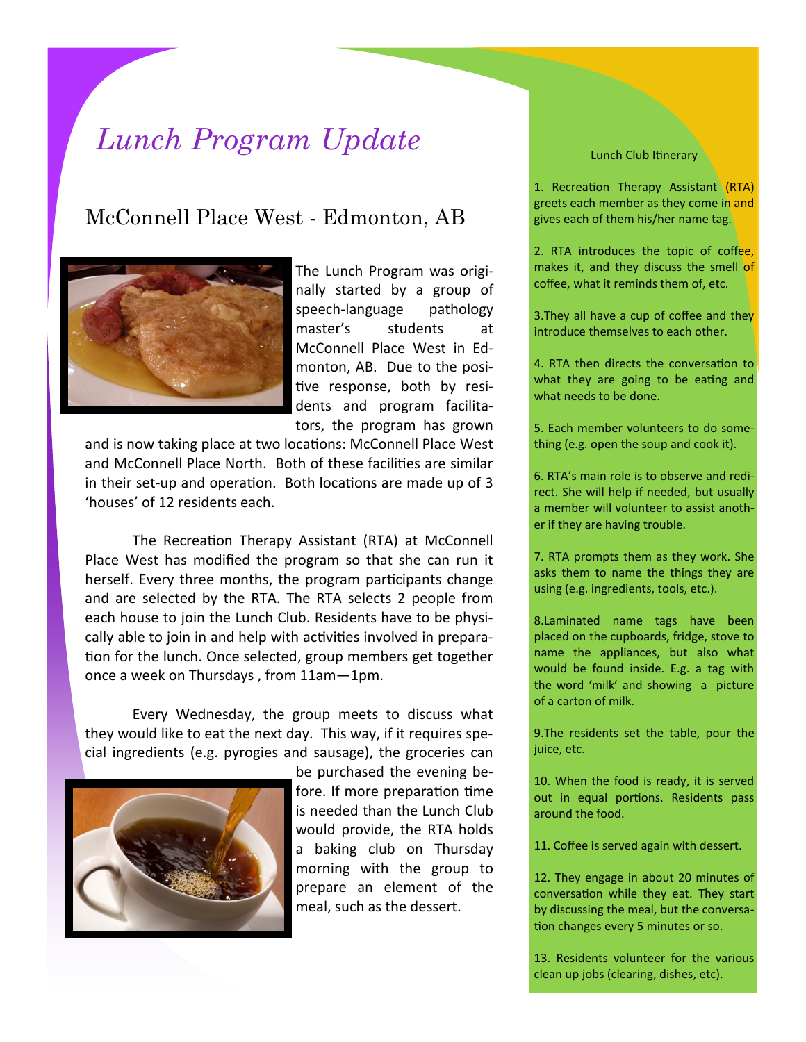## *Lunch Program Update*

## McConnell Place West - Edmonton, AB



The Lunch Program was originally started by a group of speech-language pathology master's students at McConnell Place West in Edmonton, AB. Due to the positive response, both by residents and program facilitators, the program has grown

and is now taking place at two locations: McConnell Place West and McConnell Place North. Both of these facilities are similar in their set-up and operation. Both locations are made up of 3 'houses' of 12 residents each.

The Recreation Therapy Assistant (RTA) at McConnell Place West has modified the program so that she can run it herself. Every three months, the program participants change and are selected by the RTA. The RTA selects 2 people from each house to join the Lunch Club. Residents have to be physically able to join in and help with activities involved in preparation for the lunch. Once selected, group members get together once a week on Thursdays , from 11am—1pm.

Every Wednesday, the group meets to discuss what they would like to eat the next day. This way, if it requires special ingredients (e.g. pyrogies and sausage), the groceries can



be purchased the evening before. If more preparation time is needed than the Lunch Club would provide, the RTA holds a baking club on Thursday morning with the group to prepare an element of the meal, such as the dessert.

1. Recreation Therapy Assistant (RTA) greets each member as they come in and gives each of them his/her name tag.

2. RTA introduces the topic of coffee, makes it, and they discuss the smell of coffee, what it reminds them of, etc.

3. They all have a cup of coffee and they introduce themselves to each other.

4. RTA then directs the conversation to what they are going to be eating and what needs to be done.

5. Each member volunteers to do something (e.g. open the soup and cook it).

6. RTA's main role is to observe and redirect. She will help if needed, but usually a member will volunteer to assist another if they are having trouble.

7. RTA prompts them as they work. She asks them to name the things they are using (e.g. ingredients, tools, etc.).

8.Laminated name tags have been placed on the cupboards, fridge, stove to name the appliances, but also what would be found inside. E.g. a tag with the word 'milk' and showing a picture of a carton of milk.

9.The residents set the table, pour the juice, etc.

10. When the food is ready, it is served out in equal portions. Residents pass around the food.

11. Coffee is served again with dessert.

12. They engage in about 20 minutes of conversation while they eat. They start by discussing the meal, but the conversation changes every 5 minutes or so.

13. Residents volunteer for the various clean up jobs (clearing, dishes, etc).